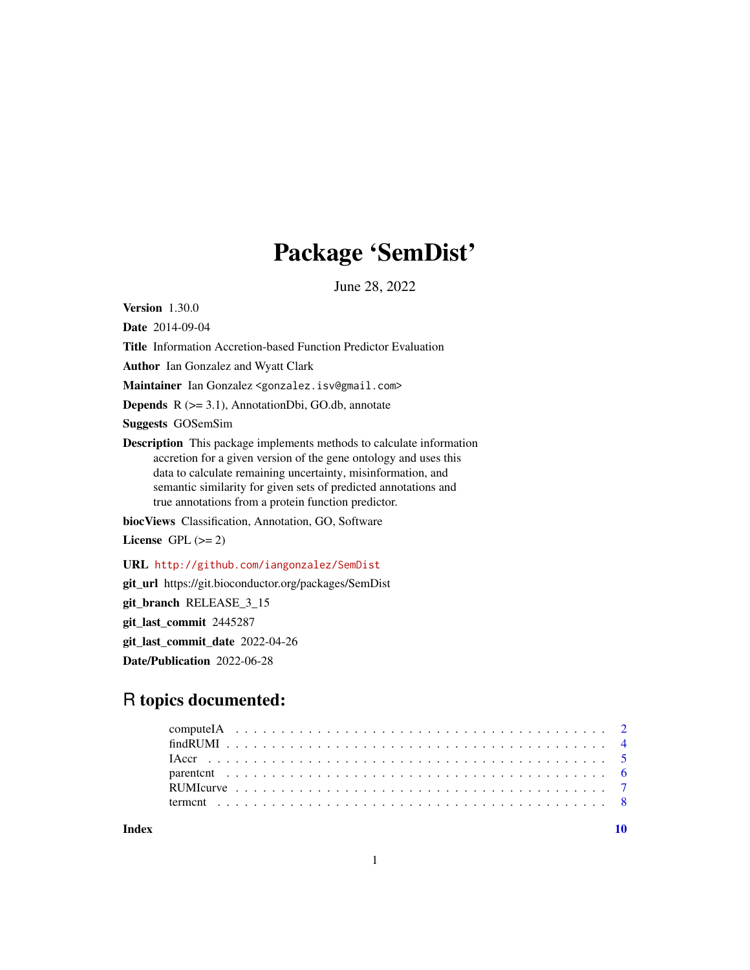# Package 'SemDist'

June 28, 2022

Version 1.30.0

Date 2014-09-04

Title Information Accretion-based Function Predictor Evaluation

Author Ian Gonzalez and Wyatt Clark

Maintainer Ian Gonzalez <gonzalez.isv@gmail.com>

**Depends**  $R$  ( $>= 3.1$ ), AnnotationDbi, GO.db, annotate

Suggests GOSemSim

Description This package implements methods to calculate information accretion for a given version of the gene ontology and uses this data to calculate remaining uncertainty, misinformation, and semantic similarity for given sets of predicted annotations and true annotations from a protein function predictor.

biocViews Classification, Annotation, GO, Software

License GPL  $(>= 2)$ 

URL <http://github.com/iangonzalez/SemDist>

git\_url https://git.bioconductor.org/packages/SemDist

git\_branch RELEASE\_3\_15

git\_last\_commit 2445287

git\_last\_commit\_date 2022-04-26

Date/Publication 2022-06-28

# R topics documented:

 $\blacksquare$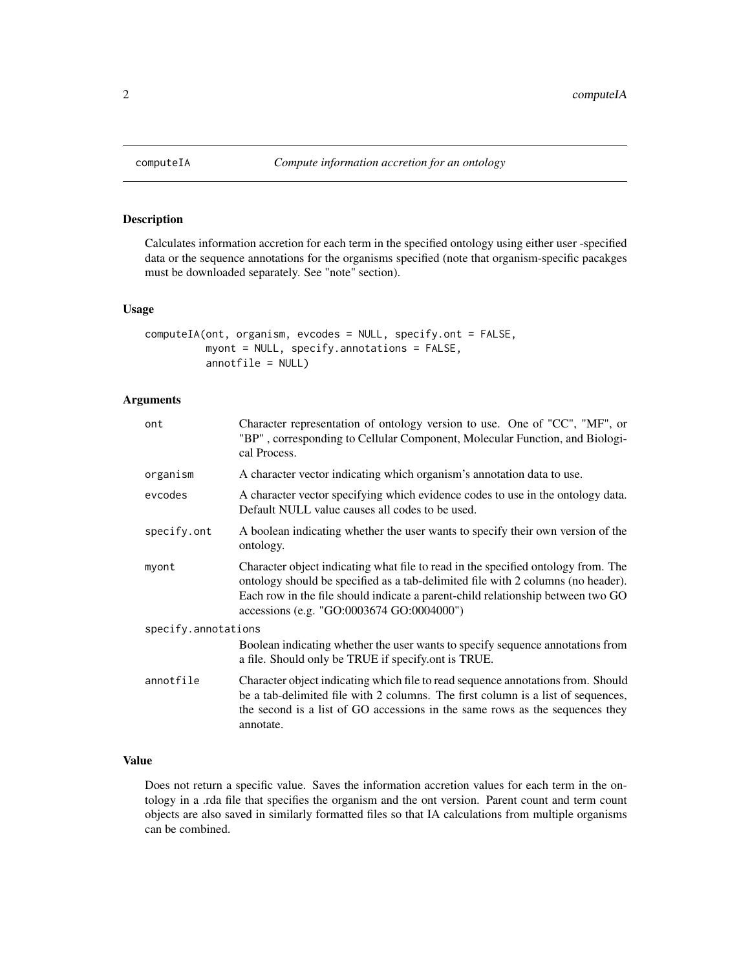<span id="page-1-1"></span><span id="page-1-0"></span>

# Description

Calculates information accretion for each term in the specified ontology using either user -specified data or the sequence annotations for the organisms specified (note that organism-specific pacakges must be downloaded separately. See "note" section).

#### Usage

```
computeIA(ont, organism, evcodes = NULL, specify.ont = FALSE,
          myont = NULL, specify.annotations = FALSE,
          annotfile = NULL)
```
# Arguments

| ont                 | Character representation of ontology version to use. One of "CC", "MF", or<br>"BP", corresponding to Cellular Component, Molecular Function, and Biologi-<br>cal Process.                                                                                                                             |
|---------------------|-------------------------------------------------------------------------------------------------------------------------------------------------------------------------------------------------------------------------------------------------------------------------------------------------------|
| organism            | A character vector indicating which organism's annotation data to use.                                                                                                                                                                                                                                |
| evcodes             | A character vector specifying which evidence codes to use in the ontology data.<br>Default NULL value causes all codes to be used.                                                                                                                                                                    |
| specify.ont         | A boolean indicating whether the user wants to specify their own version of the<br>ontology.                                                                                                                                                                                                          |
| myont               | Character object indicating what file to read in the specified ontology from. The<br>ontology should be specified as a tab-delimited file with 2 columns (no header).<br>Each row in the file should indicate a parent-child relationship between two GO<br>accessions (e.g. "GO:0003674 GO:0004000") |
| specify.annotations |                                                                                                                                                                                                                                                                                                       |
|                     | Boolean indicating whether the user wants to specify sequence annotations from<br>a file. Should only be TRUE if specify ont is TRUE.                                                                                                                                                                 |
| annotfile           | Character object indicating which file to read sequence annotations from. Should<br>be a tab-delimited file with 2 columns. The first column is a list of sequences,<br>the second is a list of GO accessions in the same rows as the sequences they<br>annotate.                                     |

# Value

Does not return a specific value. Saves the information accretion values for each term in the ontology in a .rda file that specifies the organism and the ont version. Parent count and term count objects are also saved in similarly formatted files so that IA calculations from multiple organisms can be combined.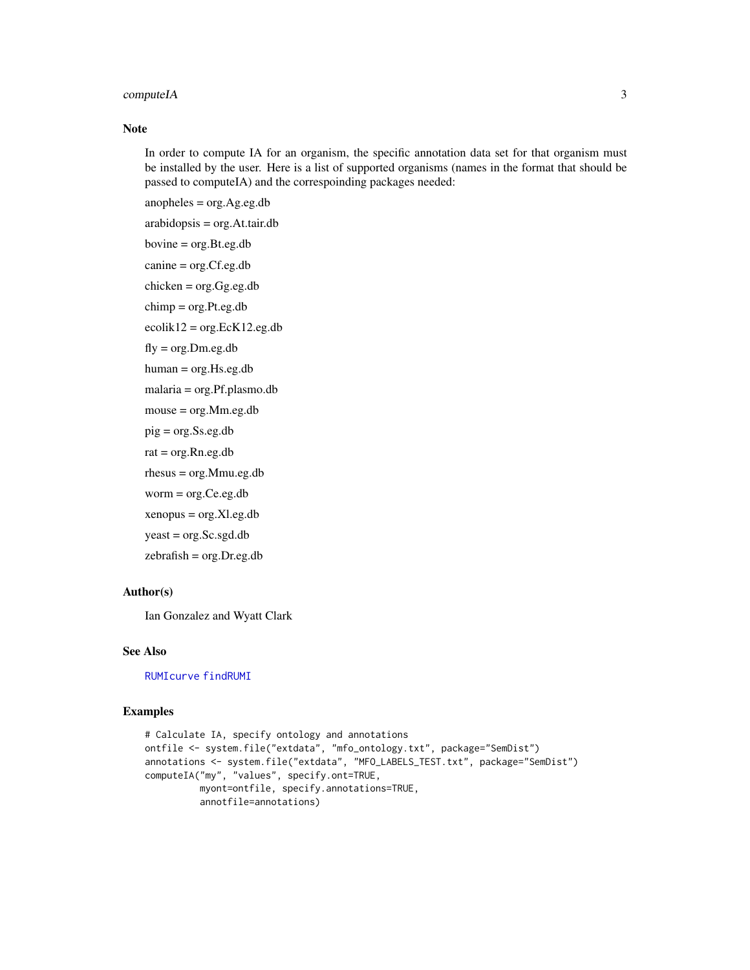# <span id="page-2-0"></span>computeIA 3

#### Note

In order to compute IA for an organism, the specific annotation data set for that organism must be installed by the user. Here is a list of supported organisms (names in the format that should be passed to computeIA) and the correspoinding packages needed:

anopheles = org.Ag.eg.db

arabidopsis = org.At.tair.db

```
bovine = org.Bt.eg.db
```
canine = org.Cf.eg.db

chicken = org.Gg.eg.db

chimp = org.Pt.eg.db

 $ecolik12 = org.EcK12.eg.db$ 

 $fly = org.Dm.eg.db$ 

human = org.Hs.eg.db

malaria = org.Pf.plasmo.db

mouse = org.Mm.eg.db

pig = org.Ss.eg.db

 $rat = org.Rn.eg.db$ 

rhesus = org.Mmu.eg.db

worm = org.Ce.eg.db

xenopus = org.Xl.eg.db

yeast = org.Sc.sgd.db

zebrafish = org.Dr.eg.db

#### Author(s)

Ian Gonzalez and Wyatt Clark

#### See Also

[RUMIcurve](#page-6-1) [findRUMI](#page-3-1)

#### Examples

```
# Calculate IA, specify ontology and annotations
ontfile <- system.file("extdata", "mfo_ontology.txt", package="SemDist")
annotations <- system.file("extdata", "MFO_LABELS_TEST.txt", package="SemDist")
computeIA("my", "values", specify.ont=TRUE,
         myont=ontfile, specify.annotations=TRUE,
         annotfile=annotations)
```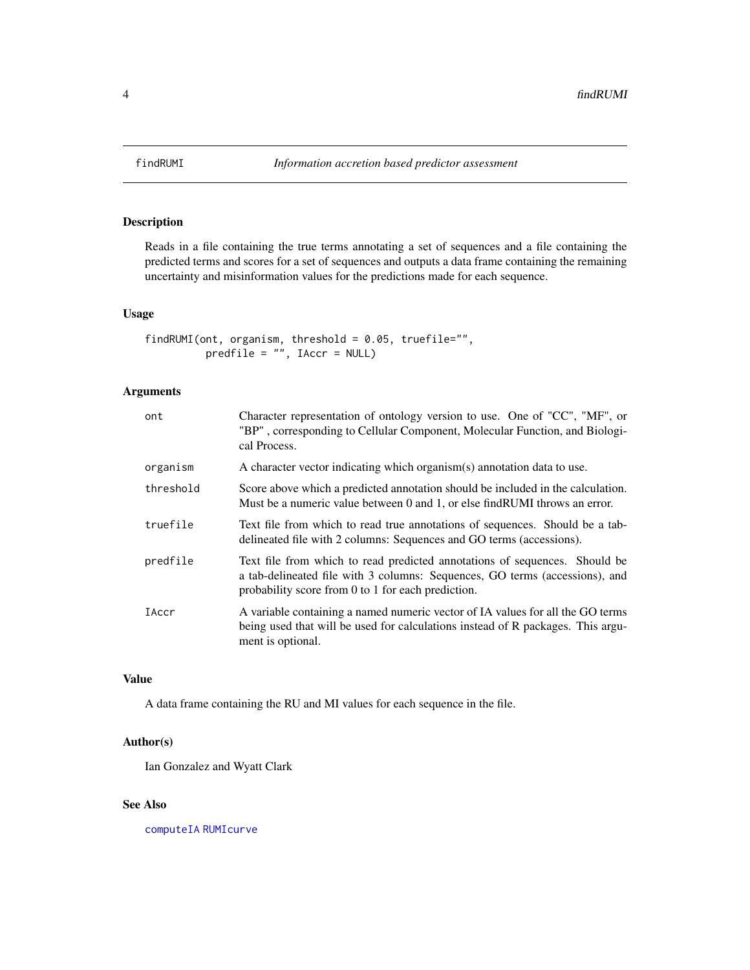<span id="page-3-1"></span><span id="page-3-0"></span>

# Description

Reads in a file containing the true terms annotating a set of sequences and a file containing the predicted terms and scores for a set of sequences and outputs a data frame containing the remaining uncertainty and misinformation values for the predictions made for each sequence.

#### Usage

```
findRUMI(ont, organism, threshold = 0.05, truefile="",
         predfile = "", IAccr = NULL)
```
# Arguments

| ont       | Character representation of ontology version to use. One of "CC", "MF", or<br>"BP", corresponding to Cellular Component, Molecular Function, and Biologi-<br>cal Process.                                       |
|-----------|-----------------------------------------------------------------------------------------------------------------------------------------------------------------------------------------------------------------|
| organism  | A character vector indicating which organism(s) annotation data to use.                                                                                                                                         |
| threshold | Score above which a predicted annotation should be included in the calculation.<br>Must be a numeric value between 0 and 1, or else find RUMI throws an error.                                                  |
| truefile  | Text file from which to read true annotations of sequences. Should be a tab-<br>delineated file with 2 columns: Sequences and GO terms (accessions).                                                            |
| predfile  | Text file from which to read predicted annotations of sequences. Should be<br>a tab-delineated file with 3 columns: Sequences, GO terms (accessions), and<br>probability score from 0 to 1 for each prediction. |
| IAccr     | A variable containing a named numeric vector of IA values for all the GO terms<br>being used that will be used for calculations instead of R packages. This argu-<br>ment is optional.                          |

#### Value

A data frame containing the RU and MI values for each sequence in the file.

# Author(s)

Ian Gonzalez and Wyatt Clark

#### See Also

[computeIA](#page-1-1) [RUMIcurve](#page-6-1)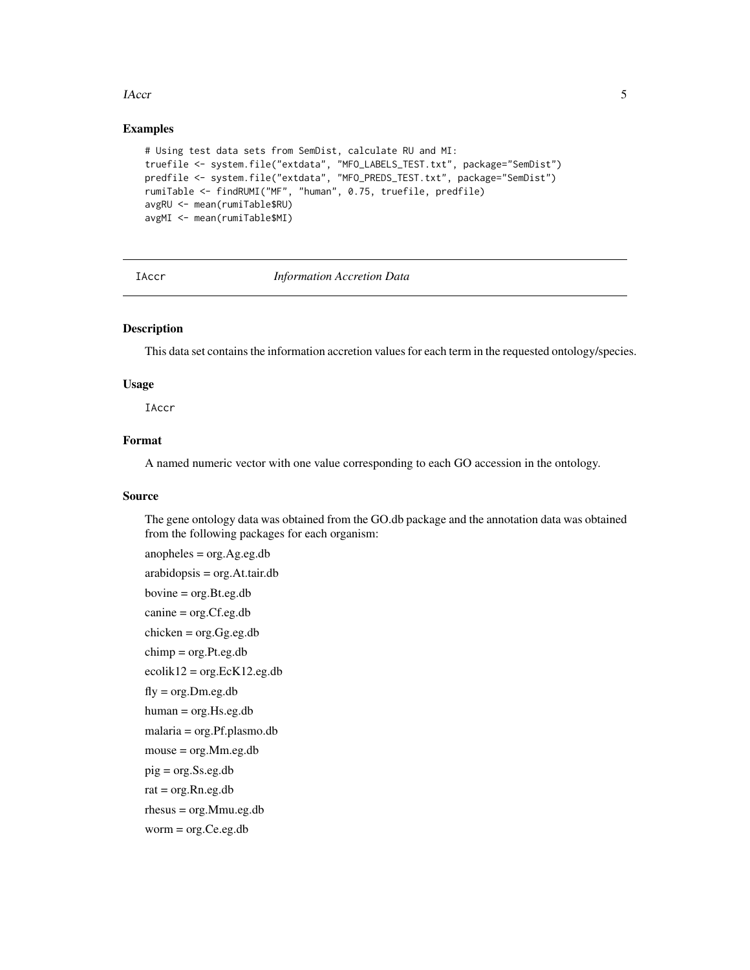#### <span id="page-4-0"></span>IAccr 5

#### Examples

```
# Using test data sets from SemDist, calculate RU and MI:
truefile <- system.file("extdata", "MFO_LABELS_TEST.txt", package="SemDist")
predfile <- system.file("extdata", "MFO_PREDS_TEST.txt", package="SemDist")
rumiTable <- findRUMI("MF", "human", 0.75, truefile, predfile)
avgRU <- mean(rumiTable$RU)
avgMI <- mean(rumiTable$MI)
```
#### IAccr *Information Accretion Data*

#### Description

This data set contains the information accretion values for each term in the requested ontology/species.

#### Usage

IAccr

# Format

A named numeric vector with one value corresponding to each GO accession in the ontology.

#### Source

The gene ontology data was obtained from the GO.db package and the annotation data was obtained from the following packages for each organism:

```
anopheles = org.Ag.eg.db
arabidopsis = org.At.tair.db
bovine = org.Bt.eg.db
canine = org.Cf.eg.db
chicken = org.Gg.eg.db
chimp = org.Pt.eg.db
ecolik12 = org.EcK12.eg.dbfly = org.Dm.eg.dbhuman = org.Hs.eg.db
malaria = org.Pf.plasmo.db
mouse = org.Mm.eg.db
pig = org.Ss.eg.db
rat = org.Rn.eg.dbrhesus = org.Mmu.eg.db
worm = org.Ce.eg.db
```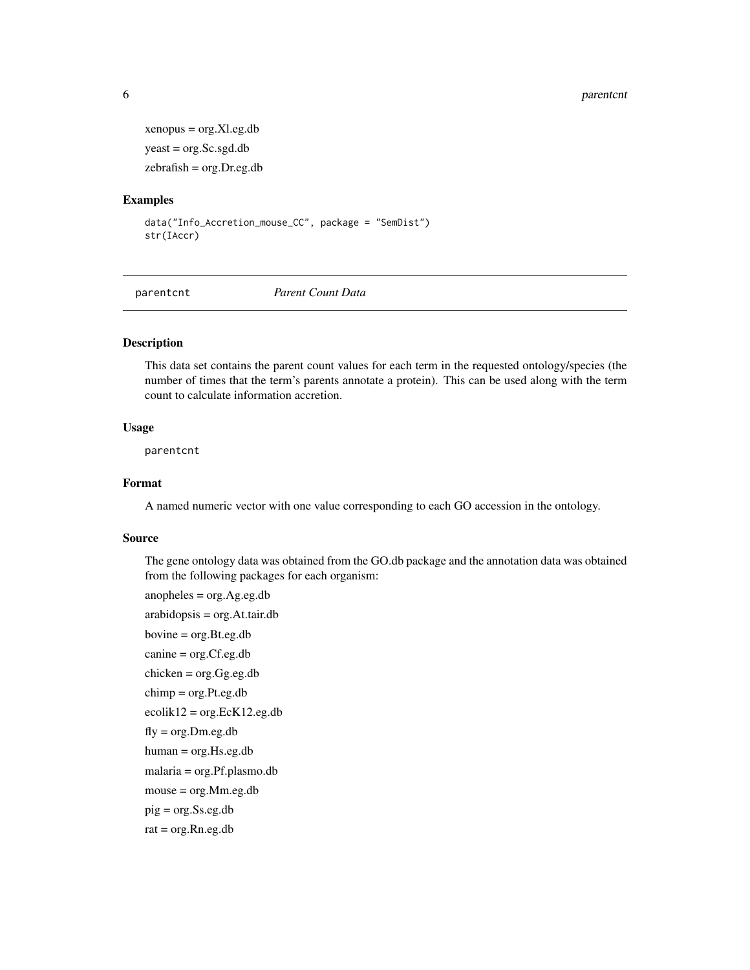#### 6 parentcnt

```
xenopus = org.Xl.eg.db
yeast = org.Sc.sgd.db
zebrafish = org.Dr.eg.db
```
#### Examples

```
data("Info_Accretion_mouse_CC", package = "SemDist")
str(IAccr)
```
parentcnt *Parent Count Data*

# Description

This data set contains the parent count values for each term in the requested ontology/species (the number of times that the term's parents annotate a protein). This can be used along with the term count to calculate information accretion.

#### Usage

parentcnt

#### Format

A named numeric vector with one value corresponding to each GO accession in the ontology.

#### Source

The gene ontology data was obtained from the GO.db package and the annotation data was obtained from the following packages for each organism:

```
anopheles = org.Ag.eg.dbarabidopsis = org.At.tair.db
bovine = org.Bt.eg.db
canine = org.Cf.eg.db
chicken = org.Gg.eg.db
chimp = org.Pt.eg.db
ecolik12 = org.EcK12.eg.dbfly = org.Dm.eg.dbhuman = org.Hs.eg.db
malaria = org.Pf.plasmo.db
mouse = org.Mm.eg.db
pig = org.Ss.eg.db
rat = org.Rn.eg.db
```
<span id="page-5-0"></span>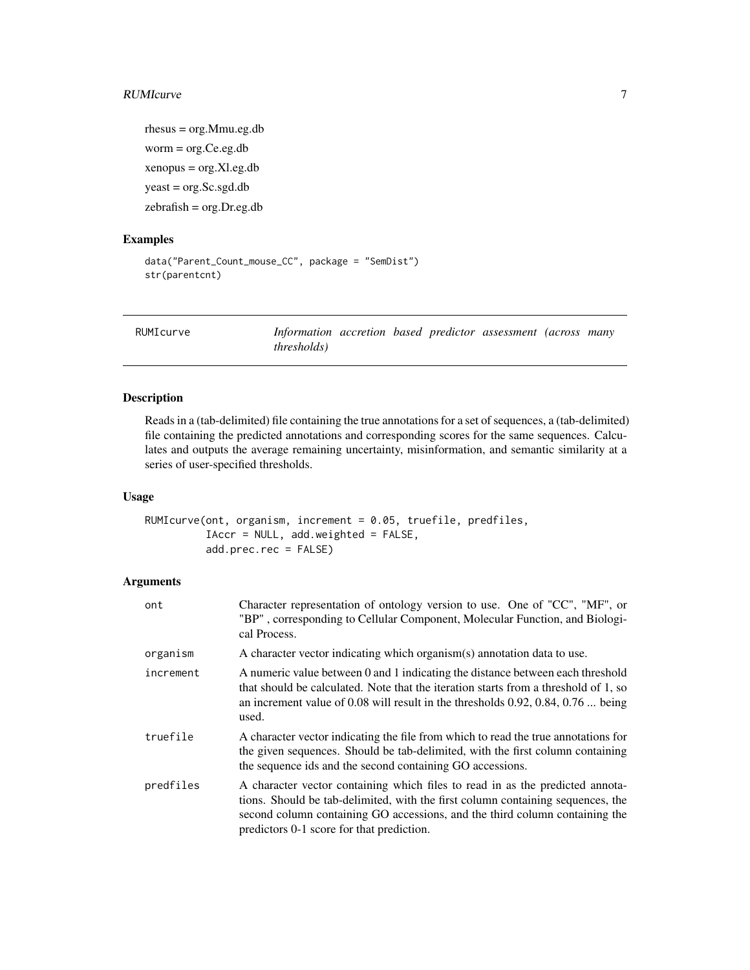#### <span id="page-6-0"></span>RUMIcurve 2008 **RUMIcurve** 2008 **RUMIcurve** 2008 *RUMIcurve* 2008 *PM*

rhesus = org.Mmu.eg.db worm = org.Ce.eg.db xenopus = org.Xl.eg.db yeast = org.Sc.sgd.db zebrafish = org.Dr.eg.db

#### Examples

```
data("Parent_Count_mouse_CC", package = "SemDist")
str(parentcnt)
```
<span id="page-6-1"></span>RUMIcurve *Information accretion based predictor assessment (across many thresholds)*

# Description

Reads in a (tab-delimited) file containing the true annotations for a set of sequences, a (tab-delimited) file containing the predicted annotations and corresponding scores for the same sequences. Calculates and outputs the average remaining uncertainty, misinformation, and semantic similarity at a series of user-specified thresholds.

#### Usage

```
RUMIcurve(ont, organism, increment = 0.05, truefile, predfiles,
          IAccr = NULL, add.weighted = FALSE,
          add.prec.rec = FALSE)
```
#### Arguments

| ont       | Character representation of ontology version to use. One of "CC", "MF", or<br>"BP", corresponding to Cellular Component, Molecular Function, and Biologi-<br>cal Process.                                                                                                                    |
|-----------|----------------------------------------------------------------------------------------------------------------------------------------------------------------------------------------------------------------------------------------------------------------------------------------------|
| organism  | A character vector indicating which organism(s) annotation data to use.                                                                                                                                                                                                                      |
| increment | A numeric value between 0 and 1 indicating the distance between each threshold<br>that should be calculated. Note that the iteration starts from a threshold of 1, so<br>an increment value of 0.08 will result in the thresholds $0.92, 0.84, 0.76$ being<br>used.                          |
| truefile  | A character vector indicating the file from which to read the true annotations for<br>the given sequences. Should be tab-delimited, with the first column containing<br>the sequence ids and the second containing GO accessions.                                                            |
| predfiles | A character vector containing which files to read in as the predicted annota-<br>tions. Should be tab-delimited, with the first column containing sequences, the<br>second column containing GO accessions, and the third column containing the<br>predictors 0-1 score for that prediction. |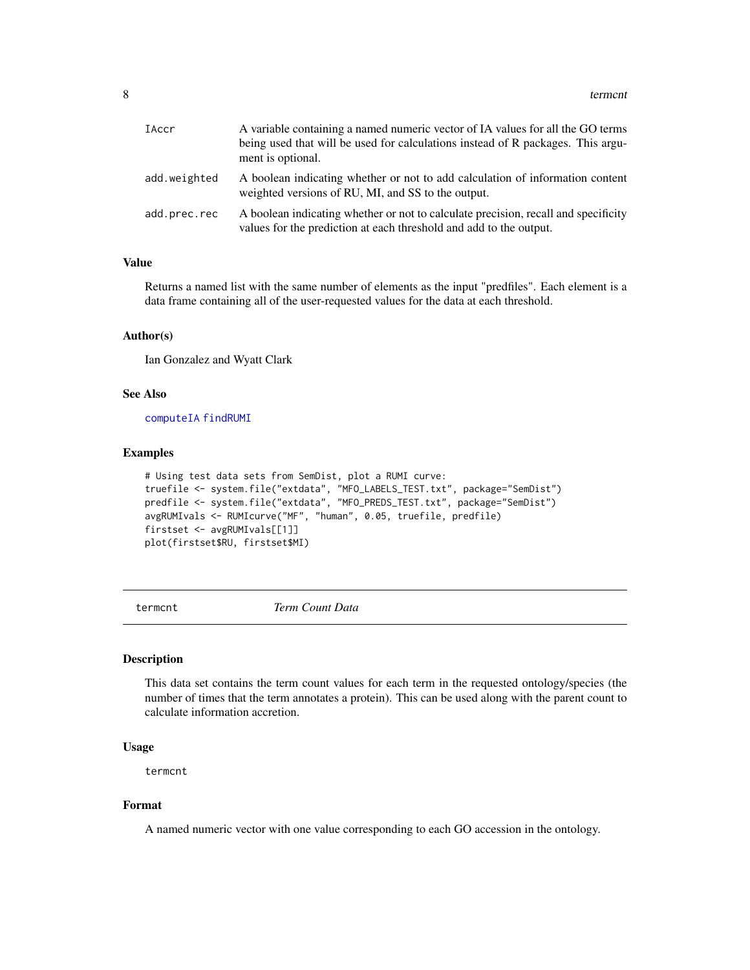<span id="page-7-0"></span>

| <b>IAccr</b> | A variable containing a named numeric vector of IA values for all the GO terms<br>being used that will be used for calculations instead of R packages. This argu-<br>ment is optional. |
|--------------|----------------------------------------------------------------------------------------------------------------------------------------------------------------------------------------|
| add.weighted | A boolean indicating whether or not to add calculation of information content<br>weighted versions of RU, MI, and SS to the output.                                                    |
| add.prec.rec | A boolean indicating whether or not to calculate precision, recall and specificity<br>values for the prediction at each threshold and add to the output.                               |

#### Value

Returns a named list with the same number of elements as the input "predfiles". Each element is a data frame containing all of the user-requested values for the data at each threshold.

#### Author(s)

Ian Gonzalez and Wyatt Clark

#### See Also

[computeIA](#page-1-1) [findRUMI](#page-3-1)

#### Examples

```
# Using test data sets from SemDist, plot a RUMI curve:
truefile <- system.file("extdata", "MFO_LABELS_TEST.txt", package="SemDist")
predfile <- system.file("extdata", "MFO_PREDS_TEST.txt", package="SemDist")
avgRUMIvals <- RUMIcurve("MF", "human", 0.05, truefile, predfile)
firstset <- avgRUMIvals[[1]]
plot(firstset$RU, firstset$MI)
```
termcnt *Term Count Data*

# Description

This data set contains the term count values for each term in the requested ontology/species (the number of times that the term annotates a protein). This can be used along with the parent count to calculate information accretion.

#### Usage

termcnt

#### Format

A named numeric vector with one value corresponding to each GO accession in the ontology.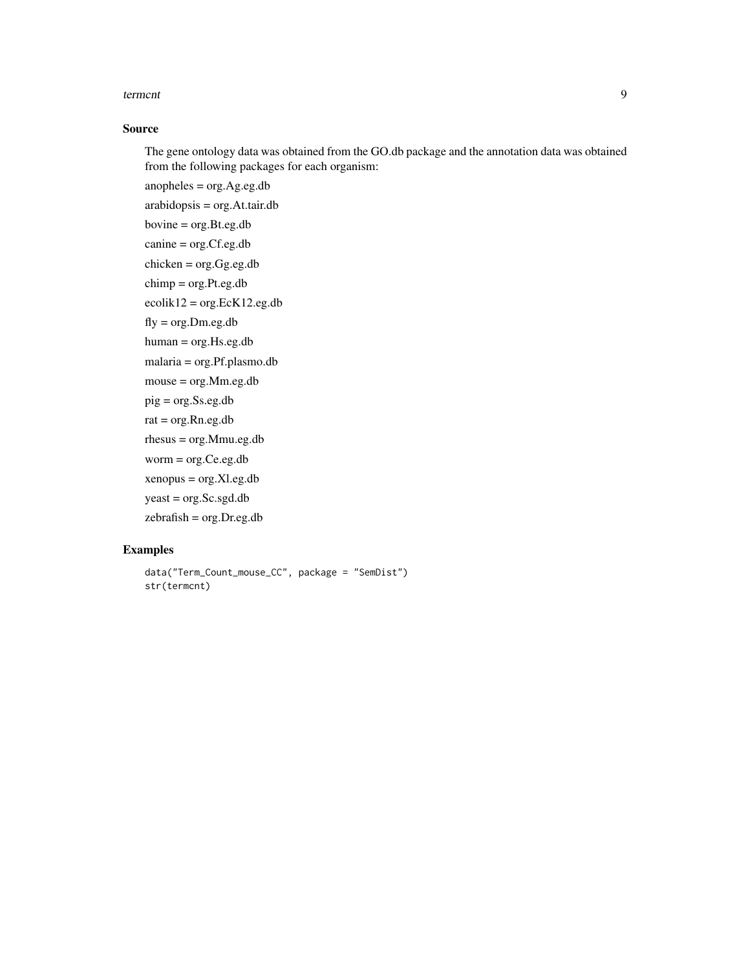#### terment and the state of the state of the state of the state of the state of the state of the state of the state of the state of the state of the state of the state of the state of the state of the state of the state of th

# Source

The gene ontology data was obtained from the GO.db package and the annotation data was obtained from the following packages for each organism:

anopheles = org.Ag.eg.db

arabidopsis = org.At.tair.db

bovine = org.Bt.eg.db

canine = org.Cf.eg.db

chicken = org.Gg.eg.db

chimp = org.Pt.eg.db

 $ecolik12 = org.EcK12.eg.db$ 

 $fly = org.Dm.eg.db$ 

human = org.Hs.eg.db

malaria = org.Pf.plasmo.db

mouse = org.Mm.eg.db

pig = org.Ss.eg.db

 $rat = org.Rn.eg.db$ 

rhesus = org.Mmu.eg.db

worm = org.Ce.eg.db

xenopus = org.Xl.eg.db

yeast = org.Sc.sgd.db

zebrafish = org.Dr.eg.db

# Examples

```
data("Term_Count_mouse_CC", package = "SemDist")
str(termcnt)
```